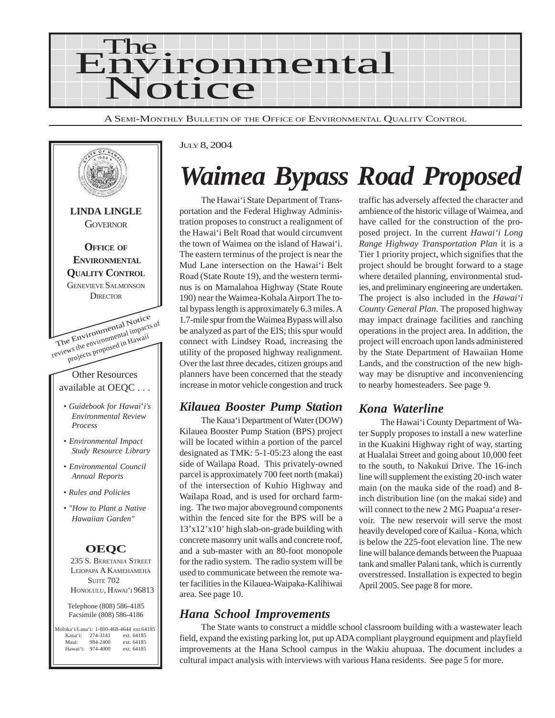

A SEMI-MONTHLY BULLETIN OF THE OFFICE OF ENVIRONMENTAL QUALITY CONTROL



#### JULY 8, 2004

# *Waimea Bypass Road Proposed*

The Hawai'i State Department of Transportation and the Federal Highway Administration proposes to construct a realignment of the Hawai'i Belt Road that would circumvent the town of Waimea on the island of Hawai'i. The eastern terminus of the project is near the Mud Lane intersection on the Hawai'i Belt Road (State Route 19), and the western terminus is on Mamalahoa Highway (State Route 190) near the Waimea-Kohala Airport The total bypass length is approximately 6.3 miles. A 1.7-mile spur from the Waimea Bypass will also be analyzed as part of the EIS; this spur would connect with Lindsey Road, increasing the utility of the proposed highway realignment. Over the last three decades, citizen groups and planners have been concerned that the steady increase in motor vehicle congestion and truck

### *Kilauea Booster Pump Station*

The Kaua'i Department of Water (DOW) Kilauea Booster Pump Station (BPS) project will be located within a portion of the parcel designated as TMK: 5-1-05:23 along the east side of Wailapa Road. This privately-owned parcel is approximately 700 feet north (makai) of the intersection of Kuhio Highway and Wailapa Road, and is used for orchard farming. The two major aboveground components within the fenced site for the BPS will be a 13'x12'x10' high slab-on-grade building with concrete masonry unit walls and concrete roof, and a sub-master with an 80-foot monopole for the radio system. The radio system will be used to communicate between the remote water facilities in the Kilauea-Waipaka-Kalihiwai area. See page 10.

### *Hana School Improvements*

The State wants to construct a middle school classroom building with a wastewater leach field, expand the existing parking lot, put up ADA compliant playground equipment and playfield improvements at the Hana School campus in the Wakiu ahupuaa. The document includes a cultural impact analysis with interviews with various Hana residents. See page 5 for more.

traffic has adversely affected the character and ambience of the historic village of Waimea, and have called for the construction of the proposed project. In the current *Hawai'i Long Range Highway Transportation Plan* it is a Tier 1 priority project, which signifies that the project should be brought forward to a stage where detailed planning, environmental studies, and preliminary engineering are undertaken. The project is also included in the *Hawai'i County General Plan*. The proposed highway may impact drainage facilities and ranching operations in the project area. In addition, the project will encroach upon lands administered by the State Department of Hawaiian Home Lands, and the construction of the new highway may be disruptive and inconveniencing to nearby homesteaders. See page 9.

### *Kona Waterline*

The Hawai'i County Department of Water Supply proposes to install a new waterline in the Kuakini Highway right of way, starting at Hualalai Street and going about 10,000 feet to the south, to Nakukui Drive. The 16-inch line will supplement the existing 20-inch water main (on the mauka side of the road) and 8 inch distribution line (on the makai side) and will connect to the new 2 MG Puapua'a reservoir. The new reservoir will serve the most heavily developed core of Kailua - Kona, which is below the 225-foot elevation line. The new line will balance demands between the Puapuaa tank and smaller Palani tank, which is currently overstressed. Installation is expected to begin April 2005. See page 8 for more.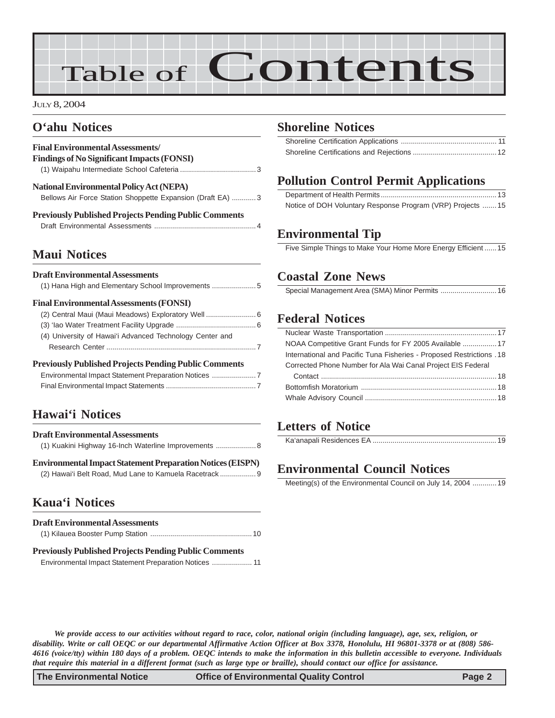# Table of Contents

#### JULY 8, 2004

### **O'ahu Notices**

| <b>Final Environmental Assessments/</b>                                                                       |
|---------------------------------------------------------------------------------------------------------------|
| <b>Findings of No Significant Impacts (FONSI)</b>                                                             |
|                                                                                                               |
| <b>National Environmental Policy Act (NEPA)</b><br>Bellows Air Force Station Shoppette Expansion (Draft EA) 3 |
| <b>Previously Published Projects Pending Public Comments</b>                                                  |

### **Maui Notices**

#### **Draft Environmental Assessments**

#### **Final Environmental Assessments (FONSI)**

| (2) Central Maui (Maui Meadows) Exploratory Well  6      |
|----------------------------------------------------------|
|                                                          |
| (4) University of Hawai'i Advanced Technology Center and |
|                                                          |
|                                                          |

#### **Previously Published Projects Pending Public Comments**

| Environmental Impact Statement Preparation Notices 7 |
|------------------------------------------------------|
|                                                      |

### **Hawai'i Notices**

|  | <b>Draft Environmental Assessments</b>                |  |  |  |
|--|-------------------------------------------------------|--|--|--|
|  | (1) Kuakini Highway 16-Inch Waterline Improvements  8 |  |  |  |
|  |                                                       |  |  |  |

**[Environmental Impact Statement Preparation Notices \(EISPN\)](#page-8-0)** [\(2\) Hawai'i Belt Road, Mud Lane to Kamuela Racetrack](#page-8-0) .................. 9

### **Kaua'i Notices**

| <b>Draft Environmental Assessments</b>                       |
|--------------------------------------------------------------|
|                                                              |
| <b>Previously Published Projects Pending Public Comments</b> |

[Environmental Impact Statement Preparation Notices](#page-10-0) .................... 11

### **[Shoreline Notices](#page-10-0)**

### **Pollution Control Permit Applications**

| Notice of DOH Voluntary Response Program (VRP) Projects 15 |  |
|------------------------------------------------------------|--|

### **Environmental Tip**

Five Simple Things to Make Your Home More Energy Efficient ......15

### **Coastal Zone News**

|--|--|--|

### **[Federal Notices](#page-16-0)**

| NOAA Competitive Grant Funds for FY 2005 Available  17                |  |
|-----------------------------------------------------------------------|--|
| International and Pacific Tuna Fisheries - Proposed Restrictions . 18 |  |
| Corrected Phone Number for Ala Wai Canal Project EIS Federal          |  |
|                                                                       |  |
|                                                                       |  |
|                                                                       |  |
|                                                                       |  |

### **Letters of Notice**

|--|--|--|--|

### **Environmental Council Notices**

Meeting(s) of the Environmental Council on July 14, 2004 ............19

*We provide access to our activities without regard to race, color, national origin (including language), age, sex, religion, or disability. Write or call OEQC or our departmental Affirmative Action Officer at Box 3378, Honolulu, HI 96801-3378 or at (808) 586- 4616 (voice/tty) within 180 days of a problem. OEQC intends to make the information in this bulletin accessible to everyone. Individuals that require this material in a different format (such as large type or braille), should contact our office for assistance.*

**The Environmental Notice Office of Environmental Quality Control Page 2**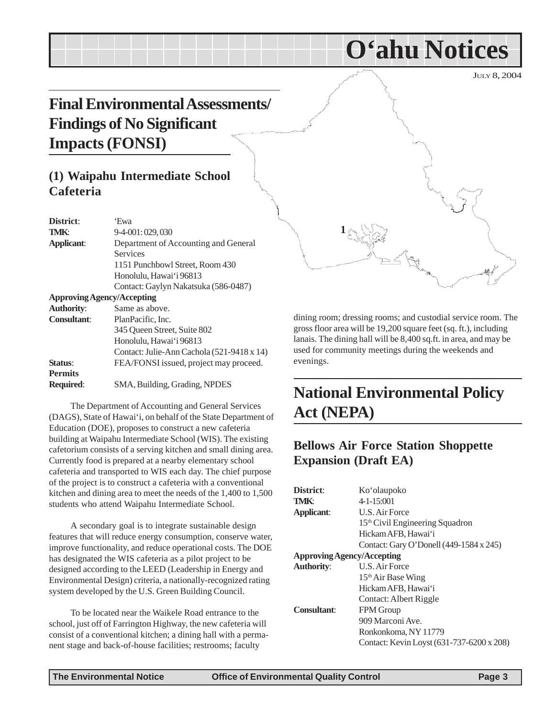# <span id="page-2-0"></span>**Final Environmental Assessments/ Findings of No Significant Impacts (FONSI)**

### **(1) Waipahu Intermediate School Cafeteria**

| District:                         | 'Ewa                                       |
|-----------------------------------|--------------------------------------------|
| <b>TMK:</b>                       | 9-4-001:029,030                            |
| <b>Applicant:</b>                 | Department of Accounting and General       |
|                                   | Services                                   |
|                                   | 1151 Punchbowl Street, Room 430            |
|                                   | Honolulu, Hawai'i 96813                    |
|                                   | Contact: Gaylyn Nakatsuka (586-0487)       |
| <b>Approving Agency/Accepting</b> |                                            |
| <b>Authority:</b>                 | Same as above.                             |
| <b>Consultant:</b>                | PlanPacific, Inc.                          |
|                                   | 345 Oueen Street, Suite 802                |
|                                   | Honolulu, Hawai'i 96813                    |
|                                   | Contact: Julie-Ann Cachola (521-9418 x 14) |
| Status:                           | FEA/FONSI issued, project may proceed.     |
| <b>Permits</b>                    |                                            |
| <b>Required:</b>                  | SMA, Building, Grading, NPDES              |

The Department of Accounting and General Services (DAGS), State of Hawai'i, on behalf of the State Department of Education (DOE), proposes to construct a new cafeteria building at Waipahu Intermediate School (WIS). The existing cafetorium consists of a serving kitchen and small dining area. Currently food is prepared at a nearby elementary school cafeteria and transported to WIS each day. The chief purpose of the project is to construct a cafeteria with a conventional kitchen and dining area to meet the needs of the 1,400 to 1,500 students who attend Waipahu Intermediate School.

A secondary goal is to integrate sustainable design features that will reduce energy consumption, conserve water, improve functionality, and reduce operational costs. The DOE has designated the WIS cafeteria as a pilot project to be designed according to the LEED (Leadership in Energy and Environmental Design) criteria, a nationally-recognized rating system developed by the U.S. Green Building Council.

To be located near the Waikele Road entrance to the school, just off of Farrington Highway, the new cafeteria will consist of a conventional kitchen; a dining hall with a permanent stage and back-of-house facilities; restrooms; faculty



**O'ahu Notices**

dining room; dressing rooms; and custodial service room. The gross floor area will be 19,200 square feet (sq. ft.), including lanais. The dining hall will be 8,400 sq.ft. in area, and may be used for community meetings during the weekends and evenings.

# **National Environmental Policy Act (NEPA)**

### **Bellows Air Force Station Shoppette Expansion (Draft EA)**

| District:                         | Ko'olaupoko                                 |
|-----------------------------------|---------------------------------------------|
| TMK:                              | $4 - 1 - 15:001$                            |
| <b>Applicant:</b>                 | U.S. Air Force                              |
|                                   | 15 <sup>th</sup> Civil Engineering Squadron |
|                                   | Hickam AFB, Hawai'i                         |
|                                   | Contact: Gary O'Donell (449-1584 x 245)     |
| <b>Approving Agency/Accepting</b> |                                             |
| <b>Authority:</b>                 | U.S. Air Force                              |
|                                   | $15th$ Air Base Wing                        |
|                                   | Hickam AFB, Hawai'i                         |
|                                   | Contact: Albert Riggle                      |
| <b>Consultant:</b>                | <b>FPM Group</b>                            |
|                                   | 909 Marconi Ave.                            |
|                                   | Ronkonkoma, NY 11779                        |
|                                   | Contact: Kevin Loyst (631-737-6200 x 208)   |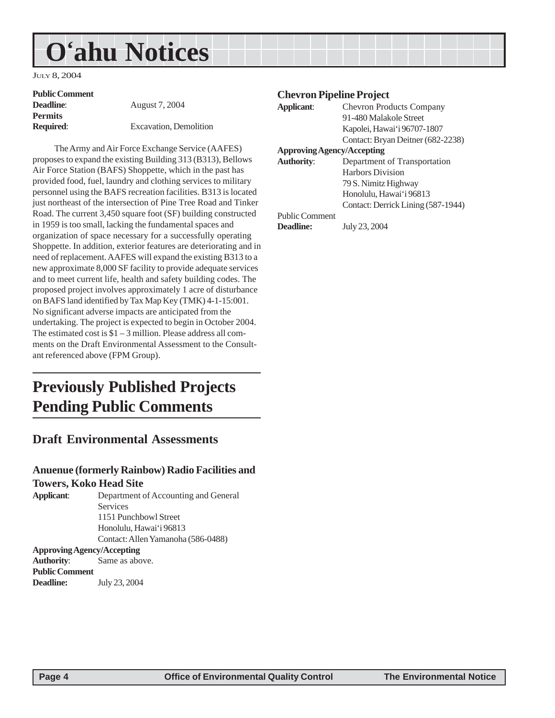# <span id="page-3-0"></span>**O'ahu Notices**

JULY 8, 2004

| <b>Public Comment</b> |                        |
|-----------------------|------------------------|
| <b>Deadline:</b>      | August 7, 2004         |
| <b>Permits</b>        |                        |
| <b>Required:</b>      | Excavation, Demolition |

The Army and Air Force Exchange Service (AAFES) proposes to expand the existing Building 313 (B313), Bellows Air Force Station (BAFS) Shoppette, which in the past has provided food, fuel, laundry and clothing services to military personnel using the BAFS recreation facilities. B313 is located just northeast of the intersection of Pine Tree Road and Tinker Road. The current 3,450 square foot (SF) building constructed in 1959 is too small, lacking the fundamental spaces and organization of space necessary for a successfully operating Shoppette. In addition, exterior features are deteriorating and in need of replacement. AAFES will expand the existing B313 to a new approximate 8,000 SF facility to provide adequate services and to meet current life, health and safety building codes. The proposed project involves approximately 1 acre of disturbance on BAFS land identified by Tax Map Key (TMK) 4-1-15:001. No significant adverse impacts are anticipated from the undertaking. The project is expected to begin in October 2004. The estimated cost is \$1 – 3 million. Please address all comments on the Draft Environmental Assessment to the Consultant referenced above (FPM Group).

# **Previously Published Projects Pending Public Comments**

### **Draft Environmental Assessments**

### **Anuenue (formerly Rainbow) Radio Facilities and Towers, Koko Head Site**

**Applicant**: Department of Accounting and General Services 1151 Punchbowl Street Honolulu, Hawai'i 96813 Contact: Allen Yamanoha (586-0488) **Approving Agency/Accepting Authority**: Same as above.

**Public Comment Deadline:** July 23, 2004

### **Chevron Pipeline Project**

| Applicant:                        | <b>Chevron Products Company</b>    |  |
|-----------------------------------|------------------------------------|--|
|                                   | 91-480 Malakole Street             |  |
|                                   | Kapolei, Hawai'i 96707-1807        |  |
|                                   | Contact: Bryan Deitner (682-2238)  |  |
| <b>Approving Agency/Accepting</b> |                                    |  |
| <b>Authority:</b>                 | Department of Transportation       |  |
|                                   | <b>Harbors Division</b>            |  |
|                                   | 79 S. Nimitz Highway               |  |
|                                   | Honolulu, Hawai'i 96813            |  |
|                                   | Contact: Derrick Lining (587-1944) |  |
| <b>Public Comment</b>             |                                    |  |
| Deadline:                         | July 23, 2004                      |  |
|                                   |                                    |  |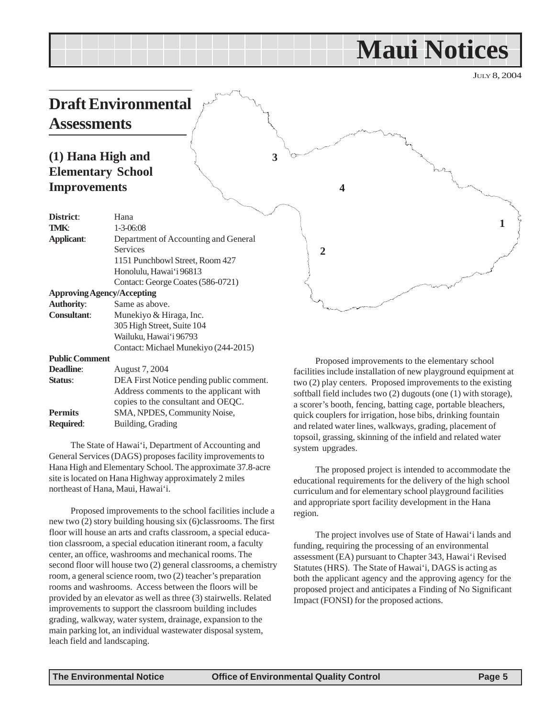# **Maui Notices**

JULY 8, 2004

**1**

### <span id="page-4-0"></span>**Draft Environmental Assessments**

### **(1) Hana High and Elementary School Improvements**

| District:                         | Hana                                     |  |
|-----------------------------------|------------------------------------------|--|
| TMK:                              | $1 - 3 - 06:08$                          |  |
| <b>Applicant:</b>                 | Department of Accounting and General     |  |
|                                   | Services                                 |  |
|                                   | 1151 Punchbowl Street, Room 427          |  |
|                                   | Honolulu, Hawai'i 96813                  |  |
|                                   | Contact: George Coates (586-0721)        |  |
| <b>Approving Agency/Accepting</b> |                                          |  |
| <b>Authority:</b>                 | Same as above.                           |  |
| <b>Consultant:</b>                | Munekiyo & Hiraga, Inc.                  |  |
|                                   | 305 High Street, Suite 104               |  |
|                                   | Wailuku, Hawaiʻi 96793                   |  |
|                                   | Contact: Michael Munekiyo (244-2015)     |  |
| <b>Public Comment</b>             |                                          |  |
| <b>Deadline:</b>                  | August 7, 2004                           |  |
| Status:                           | DEA First Notice pending public comment. |  |
|                                   | Address comments to the applicant with   |  |
|                                   | copies to the consultant and OEQC.       |  |
| <b>Permits</b>                    | SMA, NPDES, Community Noise,             |  |
| <b>Required:</b>                  | Building, Grading                        |  |

The State of Hawai'i, Department of Accounting and General Services (DAGS) proposes facility improvements to Hana High and Elementary School. The approximate 37.8-acre site is located on Hana Highway approximately 2 miles northeast of Hana, Maui, Hawai'i.

Proposed improvements to the school facilities include a new two (2) story building housing six (6)classrooms. The first floor will house an arts and crafts classroom, a special education classroom, a special education itinerant room, a faculty center, an office, washrooms and mechanical rooms. The second floor will house two (2) general classrooms, a chemistry room, a general science room, two (2) teacher's preparation rooms and washrooms. Access between the floors will be provided by an elevator as well as three (3) stairwells. Related improvements to support the classroom building includes grading, walkway, water system, drainage, expansion to the main parking lot, an individual wastewater disposal system, leach field and landscaping.

Proposed improvements to the elementary school facilities include installation of new playground equipment at two (2) play centers. Proposed improvements to the existing softball field includes two (2) dugouts (one (1) with storage), a scorer's booth, fencing, batting cage, portable bleachers, quick couplers for irrigation, hose bibs, drinking fountain and related water lines, walkways, grading, placement of topsoil, grassing, skinning of the infield and related water system upgrades.

**4**

**2**

**3**

The proposed project is intended to accommodate the educational requirements for the delivery of the high school curriculum and for elementary school playground facilities and appropriate sport facility development in the Hana region.

The project involves use of State of Hawai'i lands and funding, requiring the processing of an environmental assessment (EA) pursuant to Chapter 343, Hawai'i Revised Statutes (HRS). The State of Hawai'i, DAGS is acting as both the applicant agency and the approving agency for the proposed project and anticipates a Finding of No Significant Impact (FONSI) for the proposed actions.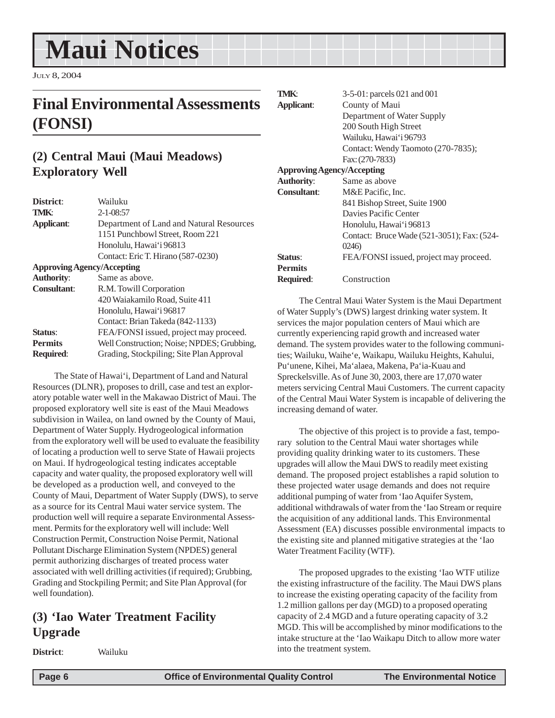# <span id="page-5-0"></span>**Maui Notices**

JULY 8, 2004

# **Final Environmental Assessments (FONSI)**

### **(2) Central Maui (Maui Meadows) Exploratory Well**

| District:                         | Wailuku                                    |  |
|-----------------------------------|--------------------------------------------|--|
| <b>TMK:</b>                       | $2 - 1 - 08:57$                            |  |
| Applicant:                        | Department of Land and Natural Resources   |  |
|                                   | 1151 Punchbowl Street, Room 221            |  |
|                                   | Honolulu, Hawai'i 96813                    |  |
|                                   | Contact: Eric T. Hirano (587-0230)         |  |
| <b>Approving Agency/Accepting</b> |                                            |  |
| <b>Authority:</b>                 | Same as above.                             |  |
| <b>Consultant:</b>                | R.M. Towill Corporation                    |  |
|                                   | 420 Waiakamilo Road, Suite 411             |  |
|                                   | Honolulu, Hawai'i 96817                    |  |
|                                   | Contact: Brian Takeda (842-1133)           |  |
| Status:                           | FEA/FONSI issued, project may proceed.     |  |
| <b>Permits</b>                    | Well Construction; Noise; NPDES; Grubbing, |  |
| <b>Required:</b>                  | Grading, Stockpiling; Site Plan Approval   |  |

The State of Hawai'i, Department of Land and Natural Resources (DLNR), proposes to drill, case and test an exploratory potable water well in the Makawao District of Maui. The proposed exploratory well site is east of the Maui Meadows subdivision in Wailea, on land owned by the County of Maui, Department of Water Supply. Hydrogeological information from the exploratory well will be used to evaluate the feasibility of locating a production well to serve State of Hawaii projects on Maui. If hydrogeological testing indicates acceptable capacity and water quality, the proposed exploratory well will be developed as a production well, and conveyed to the County of Maui, Department of Water Supply (DWS), to serve as a source for its Central Maui water service system. The production well will require a separate Environmental Assessment. Permits for the exploratory well will include: Well Construction Permit, Construction Noise Permit, National Pollutant Discharge Elimination System (NPDES) general permit authorizing discharges of treated process water associated with well drilling activities (if required); Grubbing, Grading and Stockpiling Permit; and Site Plan Approval (for well foundation).

### **(3) 'Iao Water Treatment Facility Upgrade**

**District**: Wailuku

**TMK**: 3-5-01: parcels 021 and 001 **Applicant**: County of Maui Department of Water Supply 200 South High Street Wailuku, Hawai'i 96793 Contact: Wendy Taomoto (270-7835); Fax: (270-7833) **Approving Agency/Accepting Authority**: Same as above **Consultant**: M&E Pacific, Inc. 841 Bishop Street, Suite 1900 Davies Pacific Center Honolulu, Hawai'i 96813 Contact: Bruce Wade (521-3051); Fax: (524- 0246) **Status:** FEA/FONSI issued, project may proceed. **Permits**

**Required**: Construction

The Central Maui Water System is the Maui Department of Water Supply's (DWS) largest drinking water system. It services the major population centers of Maui which are currently experiencing rapid growth and increased water demand. The system provides water to the following communities; Wailuku, Waihe'e, Waikapu, Wailuku Heights, Kahului, Pu'unene, Kihei, Ma'alaea, Makena, Pa'ia-Kuau and Spreckelsville. As of June 30, 2003, there are 17,070 water meters servicing Central Maui Customers. The current capacity of the Central Maui Water System is incapable of delivering the increasing demand of water.

The objective of this project is to provide a fast, temporary solution to the Central Maui water shortages while providing quality drinking water to its customers. These upgrades will allow the Maui DWS to readily meet existing demand. The proposed project establishes a rapid solution to these projected water usage demands and does not require additional pumping of water from 'Iao Aquifer System, additional withdrawals of water from the 'Iao Stream or require the acquisition of any additional lands. This Environmental Assessment (EA) discusses possible environmental impacts to the existing site and planned mitigative strategies at the 'Iao Water Treatment Facility (WTF).

The proposed upgrades to the existing 'Iao WTF utilize the existing infrastructure of the facility. The Maui DWS plans to increase the existing operating capacity of the facility from 1.2 million gallons per day (MGD) to a proposed operating capacity of 2.4 MGD and a future operating capacity of 3.2 MGD. This will be accomplished by minor modifications to the intake structure at the 'Iao Waikapu Ditch to allow more water into the treatment system.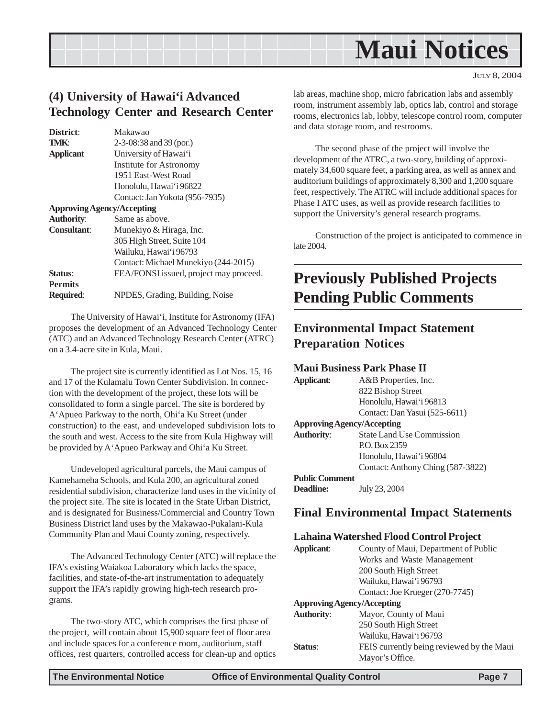<span id="page-6-0"></span>

JULY 8, 2004

### **(4) University of Hawai'i Advanced Technology Center and Research Center**

| District:          | Makawao                                |
|--------------------|----------------------------------------|
| TMK:               | $2-3-08:38$ and $39$ (por.)            |
| <b>Applicant</b>   | University of Hawai'i                  |
|                    | Institute for Astronomy                |
|                    | 1951 East-West Road                    |
|                    | Honolulu, Hawai'i 96822                |
|                    | Contact: Jan Yokota (956-7935)         |
|                    | <b>Approving Agency/Accepting</b>      |
| <b>Authority:</b>  | Same as above.                         |
| <b>Consultant:</b> | Munekiyo & Hiraga, Inc.                |
|                    | 305 High Street, Suite 104             |
|                    | Wailuku, Hawai'i 96793                 |
|                    | Contact: Michael Munekiyo (244-2015)   |
| Status:            | FEA/FONSI issued, project may proceed. |
| <b>Permits</b>     |                                        |
| <b>Required:</b>   | NPDES, Grading, Building, Noise        |

The University of Hawai'i, Institute for Astronomy (IFA) proposes the development of an Advanced Technology Center (ATC) and an Advanced Technology Research Center (ATRC) on a 3.4-acre site in Kula, Maui.

The project site is currently identified as Lot Nos. 15, 16 and 17 of the Kulamalu Town Center Subdivision. In connection with the development of the project, these lots will be consolidated to form a single parcel. The site is bordered by A'Apueo Parkway to the north, Ohi'a Ku Street (under construction) to the east, and undeveloped subdivision lots to the south and west. Access to the site from Kula Highway will be provided by A'Apueo Parkway and Ohi'a Ku Street.

Undeveloped agricultural parcels, the Maui campus of Kamehameha Schools, and Kula 200, an agricultural zoned residential subdivision, characterize land uses in the vicinity of the project site. The site is located in the State Urban District, and is designated for Business/Commercial and Country Town Business District land uses by the Makawao-Pukalani-Kula Community Plan and Maui County zoning, respectively.

The Advanced Technology Center (ATC) will replace the IFA's existing Waiakoa Laboratory which lacks the space, facilities, and state-of-the-art instrumentation to adequately support the IFA's rapidly growing high-tech research programs.

The two-story ATC, which comprises the first phase of the project, will contain about 15,900 square feet of floor area and include spaces for a conference room, auditorium, staff offices, rest quarters, controlled access for clean-up and optics lab areas, machine shop, micro fabrication labs and assembly room, instrument assembly lab, optics lab, control and storage rooms, electronics lab, lobby, telescope control room, computer and data storage room, and restrooms.

The second phase of the project will involve the development of the ATRC, a two-story, building of approximately 34,600 square feet, a parking area, as well as annex and auditorium buildings of approximately 8,300 and 1,200 square feet, respectively. The ATRC will include additional spaces for Phase I ATC uses, as well as provide research facilities to support the University's general research programs.

Construction of the project is anticipated to commence in late 2004.

# **Previously Published Projects Pending Public Comments**

### **Environmental Impact Statement Preparation Notices**

### **Maui Business Park Phase II**

| Applicant:                        | A&B Properties, Inc.              |  |
|-----------------------------------|-----------------------------------|--|
|                                   | 822 Bishop Street                 |  |
|                                   | Honolulu, Hawai'i 96813           |  |
|                                   | Contact: Dan Yasui (525-6611)     |  |
| <b>Approving Agency/Accepting</b> |                                   |  |
| <b>Authority:</b>                 | <b>State Land Use Commission</b>  |  |
|                                   | P.O. Box 2359                     |  |
|                                   | Honolulu, Hawai'i 96804           |  |
|                                   | Contact: Anthony Ching (587-3822) |  |
| <b>Public Comment</b>             |                                   |  |
|                                   |                                   |  |

**Deadline:** July 23, 2004

### **Final Environmental Impact Statements**

### **Lahaina Watershed Flood Control Project**

| Applicant:                        | County of Maui, Department of Public      |
|-----------------------------------|-------------------------------------------|
|                                   | Works and Waste Management                |
|                                   | 200 South High Street                     |
|                                   | Wailuku, Hawai'i 96793                    |
|                                   | Contact: Joe Krueger (270-7745)           |
| <b>Approving Agency/Accepting</b> |                                           |
| <b>Authority:</b>                 | Mayor, County of Maui                     |
|                                   | 250 South High Street                     |
|                                   | Wailuku, Hawai'i 96793                    |
| Status:                           | FEIS currently being reviewed by the Maui |
|                                   | Mayor's Office.                           |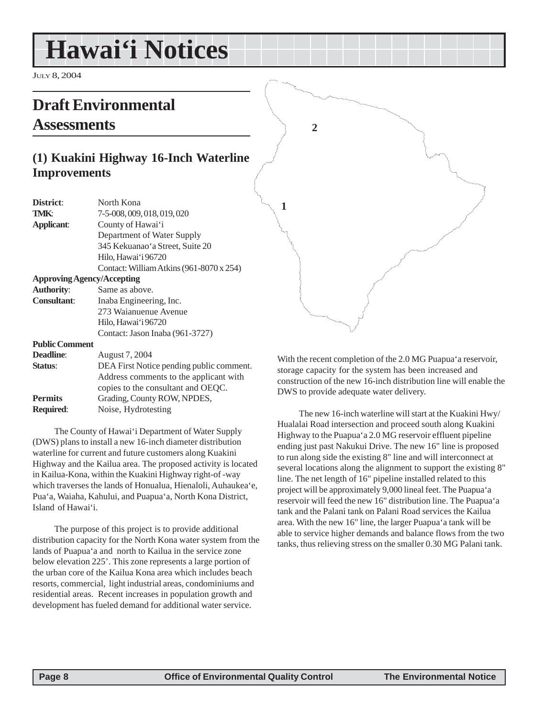# <span id="page-7-0"></span>**Hawai'i Notices**

JULY 8, 2004

# **Draft Environmental Assessments**

### **(1) Kuakini Highway 16-Inch Waterline Improvements**

| Contact: William Atkins (961-8070 x 254) |
|------------------------------------------|
|                                          |
|                                          |
|                                          |
|                                          |
|                                          |
|                                          |
|                                          |
|                                          |
| DEA First Notice pending public comment. |
| Address comments to the applicant with   |
| copies to the consultant and OEQC.       |
|                                          |
|                                          |
|                                          |

The County of Hawai'i Department of Water Supply (DWS) plans to install a new 16-inch diameter distribution waterline for current and future customers along Kuakini Highway and the Kailua area. The proposed activity is located in Kailua-Kona, within the Kuakini Highway right-of -way which traverses the lands of Honualua, Hienaloli, Auhaukea'e, Pua'a, Waiaha, Kahului, and Puapua'a, North Kona District, Island of Hawai'i.

The purpose of this project is to provide additional distribution capacity for the North Kona water system from the lands of Puapua'a and north to Kailua in the service zone below elevation 225'. This zone represents a large portion of the urban core of the Kailua Kona area which includes beach resorts, commercial, light industrial areas, condominiums and residential areas. Recent increases in population growth and development has fueled demand for additional water service.

**1 2**

With the recent completion of the 2.0 MG Puapua'a reservoir, storage capacity for the system has been increased and construction of the new 16-inch distribution line will enable the DWS to provide adequate water delivery.

The new 16-inch waterline will start at the Kuakini Hwy/ Hualalai Road intersection and proceed south along Kuakini Highway to the Puapua'a 2.0 MG reservoir effluent pipeline ending just past Nakukui Drive. The new 16" line is proposed to run along side the existing 8" line and will interconnect at several locations along the alignment to support the existing 8" line. The net length of 16" pipeline installed related to this project will be approximately 9,000 lineal feet. The Puapua'a reservoir will feed the new 16" distribution line. The Puapua'a tank and the Palani tank on Palani Road services the Kailua area. With the new 16" line, the larger Puapua'a tank will be able to service higher demands and balance flows from the two tanks, thus relieving stress on the smaller 0.30 MG Palani tank.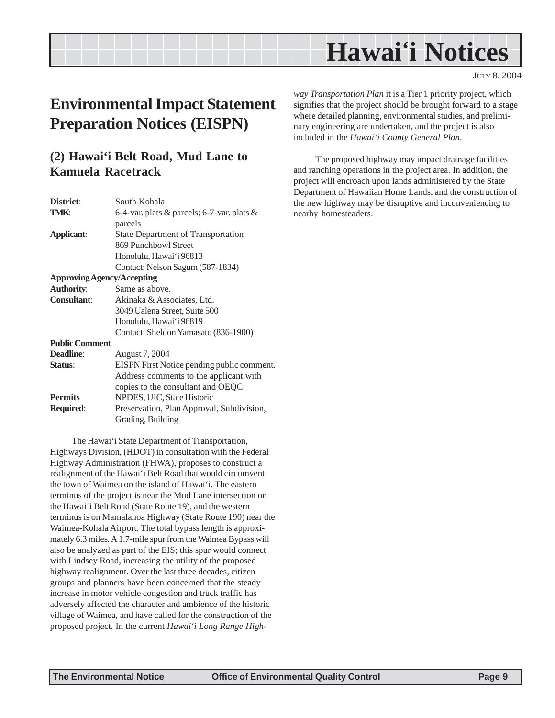# **Hawai'i Notices**

JULY 8, 2004

# <span id="page-8-0"></span>**Environmental Impact Statement Preparation Notices (EISPN)**

### **(2) Hawai'i Belt Road, Mud Lane to Kamuela Racetrack**

| District:                         | South Kohala                               |
|-----------------------------------|--------------------------------------------|
| <b>TMK:</b>                       | 6-4-var. plats & parcels; 6-7-var. plats & |
|                                   | parcels                                    |
| Applicant:                        | <b>State Department of Transportation</b>  |
|                                   | 869 Punchbowl Street                       |
|                                   | Honolulu, Hawai'i 96813                    |
|                                   | Contact: Nelson Sagum (587-1834)           |
| <b>Approving Agency/Accepting</b> |                                            |
| <b>Authority:</b>                 | Same as above.                             |
| <b>Consultant:</b>                | Akinaka & Associates, Ltd.                 |
|                                   | 3049 Ualena Street, Suite 500              |
|                                   | Honolulu, Hawai'i 96819                    |
|                                   | Contact: Sheldon Yamasato (836-1900)       |
| <b>Public Comment</b>             |                                            |
| <b>Deadline:</b>                  | August 7, 2004                             |
| Status:                           | EISPN First Notice pending public comment. |
|                                   | Address comments to the applicant with     |
|                                   | copies to the consultant and OEQC.         |
| <b>Permits</b>                    | NPDES, UIC, State Historic                 |
| <b>Required:</b>                  | Preservation, Plan Approval, Subdivision,  |
|                                   | Grading, Building                          |
|                                   |                                            |

The Hawai'i State Department of Transportation, Highways Division, (HDOT) in consultation with the Federal Highway Administration (FHWA), proposes to construct a realignment of the Hawai'i Belt Road that would circumvent the town of Waimea on the island of Hawai'i. The eastern terminus of the project is near the Mud Lane intersection on the Hawai'i Belt Road (State Route 19), and the western terminus is on Mamalahoa Highway (State Route 190) near the Waimea-Kohala Airport. The total bypass length is approximately 6.3 miles. A 1.7-mile spur from the Waimea Bypass will also be analyzed as part of the EIS; this spur would connect with Lindsey Road, increasing the utility of the proposed highway realignment. Over the last three decades, citizen groups and planners have been concerned that the steady increase in motor vehicle congestion and truck traffic has adversely affected the character and ambience of the historic village of Waimea, and have called for the construction of the proposed project. In the current *Hawai'i Long Range High-* *way Transportation Plan* it is a Tier 1 priority project, which signifies that the project should be brought forward to a stage where detailed planning, environmental studies, and preliminary engineering are undertaken, and the project is also included in the *Hawai'i County General Plan*.

The proposed highway may impact drainage facilities and ranching operations in the project area. In addition, the project will encroach upon lands administered by the State Department of Hawaiian Home Lands, and the construction of the new highway may be disruptive and inconveniencing to nearby homesteaders.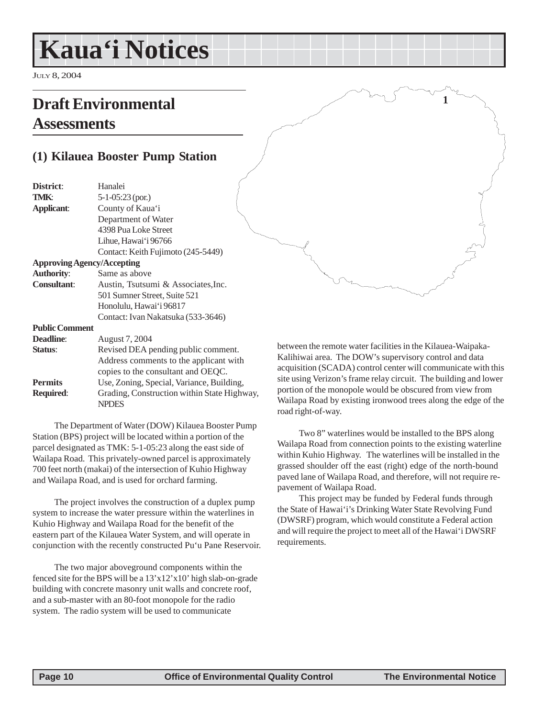# <span id="page-9-0"></span>**Kaua'i Notices**

JULY 8, 2004

# **Draft Environmental Assessments**

### **(1) Kilauea Booster Pump Station**

| District:                         | Hanalei                                     |
|-----------------------------------|---------------------------------------------|
| TMK:                              | $5-1-05:23$ (por.)                          |
| <b>Applicant:</b>                 | County of Kaua'i                            |
|                                   | Department of Water                         |
|                                   | 4398 Pua Loke Street                        |
|                                   | Lihue, Hawai'i 96766                        |
|                                   | Contact: Keith Fujimoto (245-5449)          |
| <b>Approving Agency/Accepting</b> |                                             |
| <b>Authority:</b>                 | Same as above                               |
| <b>Consultant:</b>                | Austin, Tsutsumi & Associates, Inc.         |
|                                   | 501 Sumner Street, Suite 521                |
|                                   | Honolulu, Hawai'i 96817                     |
|                                   | Contact: Ivan Nakatsuka (533-3646)          |
| <b>Public Comment</b>             |                                             |
| Deadline:                         | August 7, 2004                              |
| Status:                           | Revised DEA pending public comment.         |
|                                   | Address comments to the applicant with      |
|                                   | copies to the consultant and OEQC.          |
| <b>Permits</b>                    | Use, Zoning, Special, Variance, Building,   |
| <b>Required:</b>                  | Grading, Construction within State Highway, |
|                                   | <b>NPDES</b>                                |

The Department of Water (DOW) Kilauea Booster Pump Station (BPS) project will be located within a portion of the parcel designated as TMK: 5-1-05:23 along the east side of Wailapa Road. This privately-owned parcel is approximately 700 feet north (makai) of the intersection of Kuhio Highway and Wailapa Road, and is used for orchard farming.

The project involves the construction of a duplex pump system to increase the water pressure within the waterlines in Kuhio Highway and Wailapa Road for the benefit of the eastern part of the Kilauea Water System, and will operate in conjunction with the recently constructed Pu'u Pane Reservoir.

The two major aboveground components within the fenced site for the BPS will be a 13'x12'x10' high slab-on-grade building with concrete masonry unit walls and concrete roof, and a sub-master with an 80-foot monopole for the radio system. The radio system will be used to communicate

between the remote water facilities in the Kilauea-Waipaka-Kalihiwai area. The DOW's supervisory control and data acquisition (SCADA) control center will communicate with this site using Verizon's frame relay circuit. The building and lower portion of the monopole would be obscured from view from Wailapa Road by existing ironwood trees along the edge of the road right-of-way.

**1**

Two 8" waterlines would be installed to the BPS along Wailapa Road from connection points to the existing waterline within Kuhio Highway. The waterlines will be installed in the grassed shoulder off the east (right) edge of the north-bound paved lane of Wailapa Road, and therefore, will not require repavement of Wailapa Road.

This project may be funded by Federal funds through the State of Hawai'i's Drinking Water State Revolving Fund (DWSRF) program, which would constitute a Federal action and will require the project to meet all of the Hawai'i DWSRF requirements.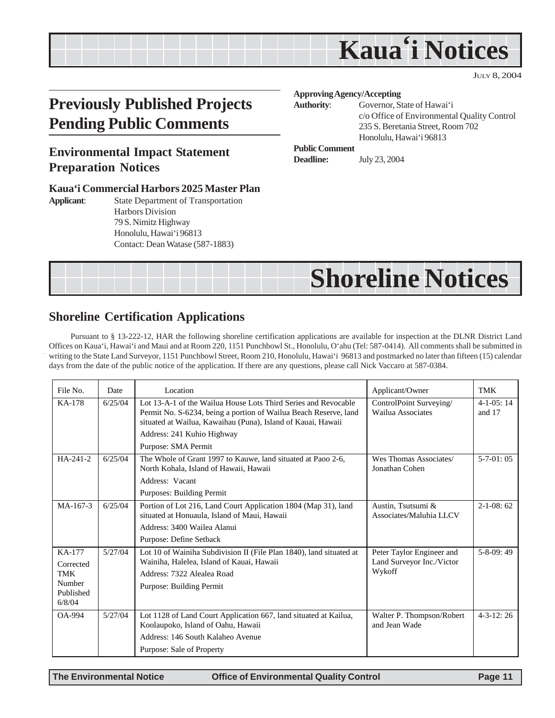# **Kaua'i Notices**

JULY 8, 2004

# <span id="page-10-0"></span>**Previously Published Projects Pending Public Comments**

### **Environmental Impact Statement Preparation Notices**

#### **Kaua'i Commercial Harbors 2025 Master Plan**

**Applicant**: State Department of Transportation Harbors Division 79 S. Nimitz Highway Honolulu, Hawai'i 96813 Contact: Dean Watase (587-1883)

#### **Approving Agency/Accepting**

**Authority**: Governor, State of Hawai'i

c/o Office of Environmental Quality Control 235 S. Beretania Street, Room 702 Honolulu, Hawai'i 96813

#### **Public Comment**

**Deadline:** July 23, 2004



### **Shoreline Certification Applications**

Pursuant to § 13-222-12, HAR the following shoreline certification applications are available for inspection at the DLNR District Land Offices on Kaua'i, Hawai'i and Maui and at Room 220, 1151 Punchbowl St., Honolulu, O'ahu (Tel: 587-0414). All comments shall be submitted in writing to the State Land Surveyor, 1151 Punchbowl Street, Room 210, Honolulu, Hawai'i 96813 and postmarked no later than fifteen (15) calendar days from the date of the public notice of the application. If there are any questions, please call Nick Vaccaro at 587-0384.

| File No.                          | Date    | Location                                                                                                                                                                                           | Applicant/Owner                                                  | TMK                          |
|-----------------------------------|---------|----------------------------------------------------------------------------------------------------------------------------------------------------------------------------------------------------|------------------------------------------------------------------|------------------------------|
| KA-178                            | 6/25/04 | Lot 13-A-1 of the Wailua House Lots Third Series and Revocable<br>Permit No. S-6234, being a portion of Wailua Beach Reserve, land<br>situated at Wailua, Kawaihau (Puna), Island of Kauai, Hawaii | ControlPoint Surveying/<br>Wailua Associates                     | $4 - 1 - 0.5$ : 14<br>and 17 |
|                                   |         | Address: 241 Kuhio Highway                                                                                                                                                                         |                                                                  |                              |
|                                   |         | Purpose: SMA Permit                                                                                                                                                                                |                                                                  |                              |
| HA-241-2                          | 6/25/04 | The Whole of Grant 1997 to Kauwe, land situated at Paoo 2-6,<br>North Kohala, Island of Hawaii, Hawaii                                                                                             | Wes Thomas Associates/<br>Jonathan Cohen                         | $5-7-01:05$                  |
|                                   |         | Address: Vacant                                                                                                                                                                                    |                                                                  |                              |
|                                   |         | Purposes: Building Permit                                                                                                                                                                          |                                                                  |                              |
| MA-167-3                          | 6/25/04 | Portion of Lot 216, Land Court Application 1804 (Map 31), land<br>situated at Honuaula, Island of Maui, Hawaii                                                                                     | Austin, Tsutsumi &<br>Associates/Maluhia LLCV                    | $2 - 1 - 08:62$              |
|                                   |         | Address: 3400 Wailea Alanui                                                                                                                                                                        |                                                                  |                              |
|                                   |         | Purpose: Define Setback                                                                                                                                                                            |                                                                  |                              |
| KA-177<br>Corrected<br><b>TMK</b> | 5/27/04 | Lot 10 of Wainiha Subdivision II (File Plan 1840), land situated at<br>Wainiha, Halelea, Island of Kauai, Hawaii<br>Address: 7322 Alealea Road                                                     | Peter Taylor Engineer and<br>Land Surveyor Inc./Victor<br>Wykoff | $5-8-09:49$                  |
| Number<br>Published<br>6/8/04     |         | Purpose: Building Permit                                                                                                                                                                           |                                                                  |                              |
| <b>OA-994</b>                     | 5/27/04 | Lot 1128 of Land Court Application 667, land situated at Kailua,<br>Koolaupoko, Island of Oahu, Hawaii                                                                                             | Walter P. Thompson/Robert<br>and Jean Wade                       | $4 - 3 - 12$ : 26            |
|                                   |         | Address: 146 South Kalaheo Avenue                                                                                                                                                                  |                                                                  |                              |
|                                   |         | Purpose: Sale of Property                                                                                                                                                                          |                                                                  |                              |

**The Environmental Notice Office of Environmental Quality Control Page 11**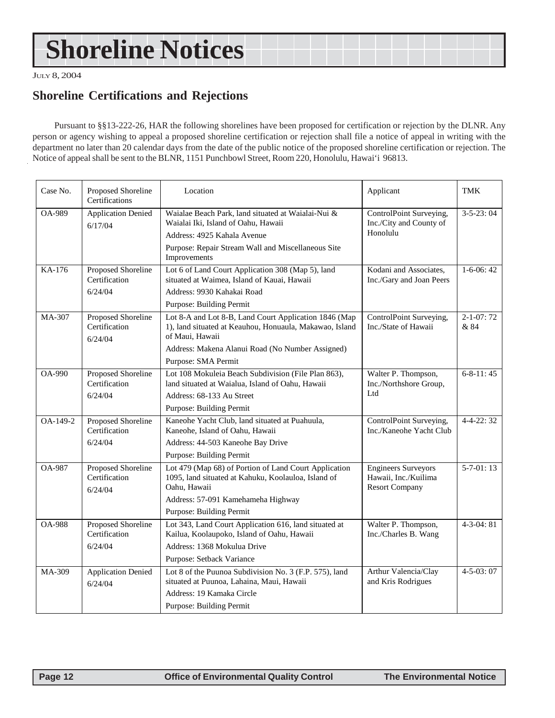# <span id="page-11-0"></span>**Shoreline Notices**

JULY 8, 2004

### **Shoreline Certifications and Rejections**

Pursuant to §§13-222-26, HAR the following shorelines have been proposed for certification or rejection by the DLNR. Any person or agency wishing to appeal a proposed shoreline certification or rejection shall file a notice of appeal in writing with the department no later than 20 calendar days from the date of the public notice of the proposed shoreline certification or rejection. The Notice of appeal shall be sent to the BLNR, 1151 Punchbowl Street, Room 220, Honolulu, Hawai'i 96813.

| Case No.      | Proposed Shoreline<br>Certifications                  | Location                                                                                                                                                                                                       | Applicant                                                                   | TMK                     |
|---------------|-------------------------------------------------------|----------------------------------------------------------------------------------------------------------------------------------------------------------------------------------------------------------------|-----------------------------------------------------------------------------|-------------------------|
| <b>OA-989</b> | <b>Application Denied</b><br>6/17/04                  | Waialae Beach Park, land situated at Waialai-Nui &<br>Waialai Iki, Island of Oahu, Hawaii<br>Address: 4925 Kahala Avenue<br>Purpose: Repair Stream Wall and Miscellaneous Site<br>Improvements                 | ControlPoint Surveying,<br>Inc./City and County of<br>Honolulu              | $3 - 5 - 23$ : 04       |
| KA-176        | Proposed Shoreline<br>Certification<br>6/24/04        | Lot 6 of Land Court Application 308 (Map 5), land<br>situated at Waimea, Island of Kauai, Hawaii<br>Address: 9930 Kahakai Road<br>Purpose: Building Permit                                                     | Kodani and Associates,<br>Inc./Gary and Joan Peers                          | $1-6-06:42$             |
| MA-307        | <b>Proposed Shoreline</b><br>Certification<br>6/24/04 | Lot 8-A and Lot 8-B, Land Court Application 1846 (Map<br>1), land situated at Keauhou, Honuaula, Makawao, Island<br>of Maui, Hawaii<br>Address: Makena Alanui Road (No Number Assigned)<br>Purpose: SMA Permit | ControlPoint Surveying,<br>Inc./State of Hawaii                             | $2 - 1 - 07:72$<br>& 84 |
| $OA-990$      | Proposed Shoreline<br>Certification<br>6/24/04        | Lot 108 Mokuleia Beach Subdivision (File Plan 863),<br>land situated at Waialua, Island of Oahu, Hawaii<br>Address: 68-133 Au Street<br>Purpose: Building Permit                                               | Walter P. Thompson,<br>Inc./Northshore Group,<br>Ltd                        | $6 - 8 - 11$ : 45       |
| OA-149-2      | Proposed Shoreline<br>Certification<br>6/24/04        | Kaneohe Yacht Club, land situated at Puahuula,<br>Kaneohe, Island of Oahu, Hawaii<br>Address: 44-503 Kaneohe Bay Drive<br>Purpose: Building Permit                                                             | ControlPoint Surveying,<br>Inc./Kaneohe Yacht Club                          | $4 - 4 - 22$ : 32       |
| <b>OA-987</b> | <b>Proposed Shoreline</b><br>Certification<br>6/24/04 | Lot 479 (Map 68) of Portion of Land Court Application<br>1095, land situated at Kahuku, Koolauloa, Island of<br>Oahu, Hawaii<br>Address: 57-091 Kamehameha Highway<br>Purpose: Building Permit                 | <b>Engineers Surveyors</b><br>Hawaii, Inc./Kuilima<br><b>Resort Company</b> | $5-7-01:13$             |
| <b>OA-988</b> | Proposed Shoreline<br>Certification<br>6/24/04        | Lot 343, Land Court Application 616, land situated at<br>Kailua, Koolaupoko, Island of Oahu, Hawaii<br>Address: 1368 Mokulua Drive<br>Purpose: Setback Variance                                                | Walter P. Thompson,<br>Inc./Charles B. Wang                                 | $4 - 3 - 04$ : 81       |
| MA-309        | <b>Application Denied</b><br>6/24/04                  | Lot 8 of the Puunoa Subdivision No. 3 (F.P. 575), land<br>situated at Puunoa, Lahaina, Maui, Hawaii<br>Address: 19 Kamaka Circle<br>Purpose: Building Permit                                                   | Arthur Valencia/Clay<br>and Kris Rodrigues                                  | $4 - 5 - 03:07$         |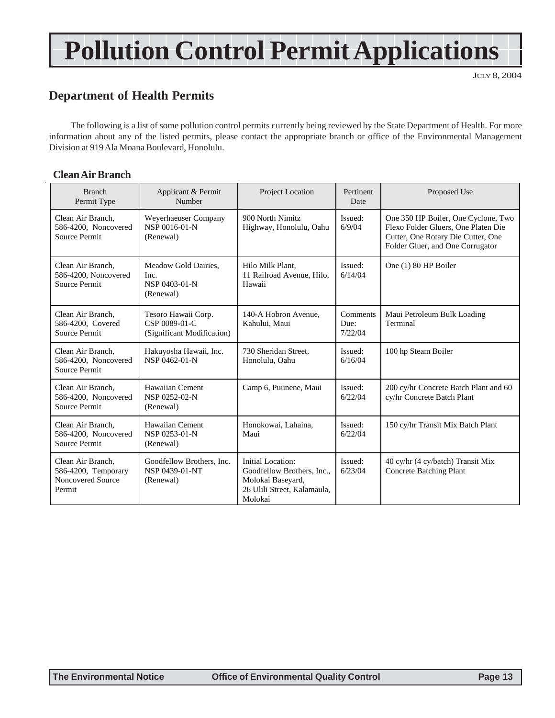# **Pollution Control Permit Applications**

JULY 8, 2004

### **Department of Health Permits**

The following is a list of some pollution control permits currently being reviewed by the State Department of Health. For more information about any of the listed permits, please contact the appropriate branch or office of the Environmental Management Division at 919 Ala Moana Boulevard, Honolulu.

### **Clean Air Branch**

| <b>Branch</b><br>Permit Type                                            | Applicant & Permit<br>Number                                       | Project Location                                                                                               | Pertinent<br>Date           | Proposed Use                                                                                                                                         |
|-------------------------------------------------------------------------|--------------------------------------------------------------------|----------------------------------------------------------------------------------------------------------------|-----------------------------|------------------------------------------------------------------------------------------------------------------------------------------------------|
| Clean Air Branch.<br>586-4200, Noncovered<br>Source Permit              | Weyerhaeuser Company<br>NSP 0016-01-N<br>(Renewal)                 | 900 North Nimitz<br>Highway, Honolulu, Oahu                                                                    | Issued:<br>6/9/04           | One 350 HP Boiler, One Cyclone, Two<br>Flexo Folder Gluers, One Platen Die<br>Cutter, One Rotary Die Cutter, One<br>Folder Gluer, and One Corrugator |
| Clean Air Branch.<br>586-4200, Noncovered<br><b>Source Permit</b>       | Meadow Gold Dairies,<br>Inc.<br>NSP 0403-01-N<br>(Renewal)         | Hilo Milk Plant.<br>11 Railroad Avenue, Hilo,<br>Hawaii                                                        | Issued:<br>6/14/04          | One (1) 80 HP Boiler                                                                                                                                 |
| Clean Air Branch.<br>586-4200, Covered<br>Source Permit                 | Tesoro Hawaii Corp.<br>CSP 0089-01-C<br>(Significant Modification) | 140-A Hobron Avenue.<br>Kahului, Maui                                                                          | Comments<br>Due:<br>7/22/04 | Maui Petroleum Bulk Loading<br>Terminal                                                                                                              |
| Clean Air Branch,<br>586-4200, Noncovered<br>Source Permit              | Hakuyosha Hawaii, Inc.<br>NSP 0462-01-N                            | 730 Sheridan Street.<br>Honolulu, Oahu                                                                         | Issued:<br>6/16/04          | 100 hp Steam Boiler                                                                                                                                  |
| Clean Air Branch.<br>586-4200, Noncovered<br>Source Permit              | Hawaiian Cement<br>NSP 0252-02-N<br>(Renewal)                      | Camp 6, Puunene, Maui                                                                                          | Issued:<br>6/22/04          | 200 cy/hr Concrete Batch Plant and 60<br>cy/hr Concrete Batch Plant                                                                                  |
| Clean Air Branch,<br>586-4200, Noncovered<br>Source Permit              | Hawaiian Cement<br>NSP 0253-01-N<br>(Renewal)                      | Honokowai, Lahaina,<br>Maui                                                                                    | Issued:<br>6/22/04          | 150 cy/hr Transit Mix Batch Plant                                                                                                                    |
| Clean Air Branch,<br>586-4200, Temporary<br>Noncovered Source<br>Permit | Goodfellow Brothers, Inc.<br>NSP 0439-01-NT<br>(Renewal)           | Initial Location:<br>Goodfellow Brothers, Inc.,<br>Molokai Baseyard,<br>26 Ulili Street, Kalamaula,<br>Molokai | Issued:<br>6/23/04          | 40 cy/hr (4 cy/batch) Transit Mix<br><b>Concrete Batching Plant</b>                                                                                  |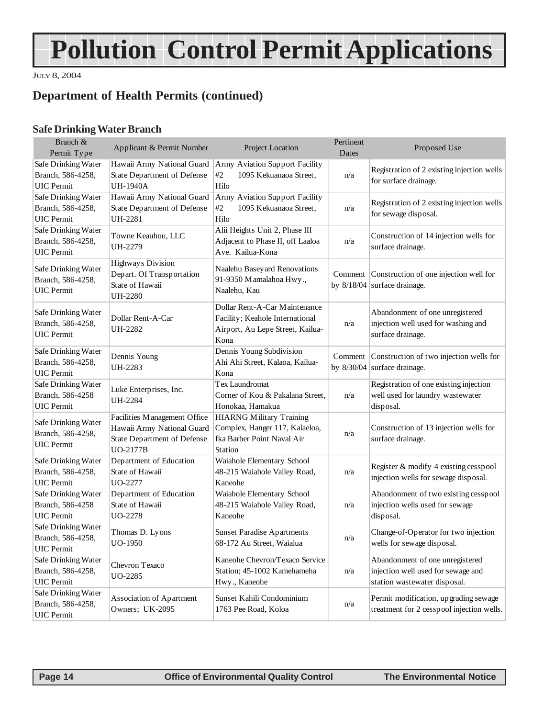# **Pollution Control Permit Applications**

JULY 8, 2004

### **Department of Health Permits (continued)**

### **Safe Drinking Water Branch**

| Branch &<br>Permit Type                                       | Applicant & Permit Number                                                                                    | Project Location                                                                                             | Pertinent<br>Dates | Proposed Use                                                                                          |
|---------------------------------------------------------------|--------------------------------------------------------------------------------------------------------------|--------------------------------------------------------------------------------------------------------------|--------------------|-------------------------------------------------------------------------------------------------------|
| Safe Drinking Water<br>Branch, 586-4258,<br><b>UIC</b> Permit | Hawaii Army National Guard<br>State Department of Defense<br><b>UH-1940A</b>                                 | Army Aviation Support Facility<br>#2<br>1095 Kekuanaoa Street,<br>Hilo                                       | n/a                | Registration of 2 existing injection wells<br>for surface drainage.                                   |
| Safe Drinking Water<br>Branch, 586-4258,<br><b>UIC</b> Permit | Hawaii Army National Guard<br>State Department of Defense<br><b>UH-2281</b>                                  | Army Aviation Support Facility<br>1095 Kekuanaoa Street,<br>#2<br>Hilo                                       | n/a                | Registration of 2 existing injection wells<br>for sewage disposal.                                    |
| Safe Drinking Water<br>Branch, 586-4258,<br><b>UIC</b> Permit | Towne Keauhou, LLC<br>UH-2279                                                                                | Alii Heights Unit 2, Phase III<br>Adjacent to Phase II, off Laaloa<br>Ave. Kailua-Kona                       | n/a                | Construction of 14 injection wells for<br>surface drainage.                                           |
| Safe Drinking Water<br>Branch, 586-4258,<br><b>UIC</b> Permit | Highways Division<br>Depart. Of Transportation<br>State of Hawaii<br><b>UH-2280</b>                          | Naalehu Basey ard Renovations<br>91-9350 Mamalahoa Hwy.,<br>Naalehu, Kau                                     |                    | Comment   Construction of one injection well for<br>by $8/18/04$ surface drainage.                    |
| Safe Drinking Water<br>Branch, 586-4258,<br><b>UIC</b> Permit | Dollar Rent-A-Car<br><b>UH-2282</b>                                                                          | Dollar Rent-A-Car Maintenance<br>Facility; Keahole International<br>Airport, Au Lepe Street, Kailua-<br>Kona | n/a                | Abandonment of one unregistered<br>injection well used for washing and<br>surface drainage.           |
| Safe Drinking Water<br>Branch, 586-4258,<br><b>UIC</b> Permit | Dennis Young<br>UH-2283                                                                                      | Dennis Young Subdivision<br>Ahi Ahi Street, Kalaoa, Kailua-<br>Kona                                          |                    | Comment Construction of two injection wells for<br>by $8/30/04$ surface drainage.                     |
| Safe Drinking Water<br>Branch, 586-4258<br><b>UIC</b> Permit  | Luke Enterprises, Inc.<br><b>UH-2284</b>                                                                     | Tex Laundromat<br>Corner of Kou & Pakalana Street,<br>Honokaa, Hamakua                                       | n/a                | Registration of one existing injection<br>well used for laundry wastewater<br>disposal.               |
| Safe Drinking Water<br>Branch, 586-4258,<br><b>UIC</b> Permit | Facilities Management Office<br>Hawaii Army National Guard<br>State Department of Defense<br><b>UO-2177B</b> | <b>HIARNG Military Training</b><br>Complex, Hanger 117, Kalaeloa,<br>fka Barber Point Naval Air<br>Station   | n/a                | Construction of 13 injection wells for<br>surface drainage.                                           |
| Safe Drinking Water<br>Branch, 586-4258,<br><b>UIC</b> Permit | Department of Education<br>State of Hawaii<br>UO-2277                                                        | Waiahole Elementary School<br>48-215 Waiahole Valley Road,<br>Kaneohe                                        | n/a                | Register & modify 4 existing cesspool<br>injection wells for sewage disposal.                         |
| Safe Drinking Water<br>Branch, 586-4258<br><b>UIC</b> Permit  | Department of Education<br>State of Hawaii<br>UO-2278                                                        | Waiahole Elementary School<br>48-215 Waiahole Valley Road,<br>Kaneohe                                        | n/a                | Abandonment of two existing cesspool<br>injection wells used for sewage<br>disposal.                  |
| Safe Drinking Water<br>Branch, 586-4258,<br><b>UIC</b> Permit | Thomas D. Lyons<br>UO-1950                                                                                   | Sunset Paradise Apartments<br>68-172 Au Street, Waialua                                                      | n/a                | Change-of-Operator for two injection<br>wells for sewage disposal.                                    |
| Safe Drinking Water<br>Branch, 586-4258,<br><b>UIC</b> Permit | Chevron Texaco<br>UO-2285                                                                                    | Kaneohe Chevron/Texaco Service<br>Station; 45-1002 Kamehameha<br>Hwy., Kaneohe                               | n/a                | Abandonment of one unregistered<br>injection well used for sewage and<br>station wastewater disposal. |
| Safe Drinking Water<br>Branch, 586-4258,<br><b>UIC</b> Permit | Association of Apartment<br>Owners; UK-2095                                                                  | Sunset Kahili Condominium<br>1763 Pee Road, Koloa                                                            | n/a                | Permit modification, upgrading sewage<br>treatment for 2 cesspool injection wells.                    |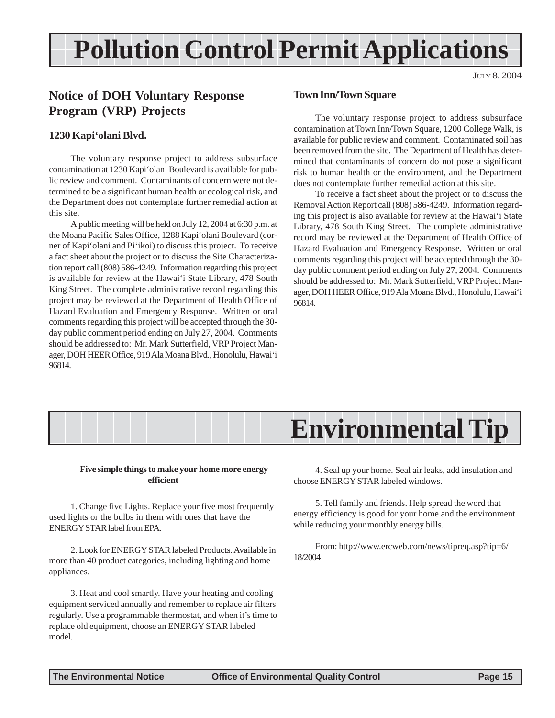# <span id="page-14-0"></span>**Pollution Control Permit Applications**

JULY 8, 2004

### **Notice of DOH Voluntary Response Program (VRP) Projects**

### **1230 Kapi'olani Blvd.**

The voluntary response project to address subsurface contamination at 1230 Kapi'olani Boulevard is available for public review and comment. Contaminants of concern were not determined to be a significant human health or ecological risk, and the Department does not contemplate further remedial action at this site.

A public meeting will be held on July 12, 2004 at 6:30 p.m. at the Moana Pacific Sales Office, 1288 Kapi'olani Boulevard (corner of Kapi'olani and Pi'ikoi) to discuss this project. To receive a fact sheet about the project or to discuss the Site Characterization report call (808) 586-4249. Information regarding this project is available for review at the Hawai'i State Library, 478 South King Street. The complete administrative record regarding this project may be reviewed at the Department of Health Office of Hazard Evaluation and Emergency Response. Written or oral comments regarding this project will be accepted through the 30 day public comment period ending on July 27, 2004. Comments should be addressed to: Mr. Mark Sutterfield, VRP Project Manager, DOH HEER Office, 919 Ala Moana Blvd., Honolulu, Hawai'i 96814.

#### **Town Inn/Town Square**

The voluntary response project to address subsurface contamination at Town Inn/Town Square, 1200 College Walk, is available for public review and comment. Contaminated soil has been removed from the site. The Department of Health has determined that contaminants of concern do not pose a significant risk to human health or the environment, and the Department does not contemplate further remedial action at this site.

To receive a fact sheet about the project or to discuss the Removal Action Report call (808) 586-4249. Information regarding this project is also available for review at the Hawai'i State Library, 478 South King Street. The complete administrative record may be reviewed at the Department of Health Office of Hazard Evaluation and Emergency Response. Written or oral comments regarding this project will be accepted through the 30 day public comment period ending on July 27, 2004. Comments should be addressed to: Mr. Mark Sutterfield, VRP Project Manager, DOH HEER Office, 919 Ala Moana Blvd., Honolulu, Hawai'i 96814.

# **Environmental Tip**

#### **Five simple things to make your home more energy efficient**

1. Change five Lights. Replace your five most frequently used lights or the bulbs in them with ones that have the ENERGY STAR label from EPA.

2. Look for ENERGY STAR labeled Products. Available in more than 40 product categories, including lighting and home appliances.

3. Heat and cool smartly. Have your heating and cooling equipment serviced annually and remember to replace air filters regularly. Use a programmable thermostat, and when it's time to replace old equipment, choose an ENERGY STAR labeled model.

4. Seal up your home. Seal air leaks, add insulation and choose ENERGY STAR labeled windows.

5. Tell family and friends. Help spread the word that energy efficiency is good for your home and the environment while reducing your monthly energy bills.

From: http://www.ercweb.com/news/tipreq.asp?tip=6/ 18/2004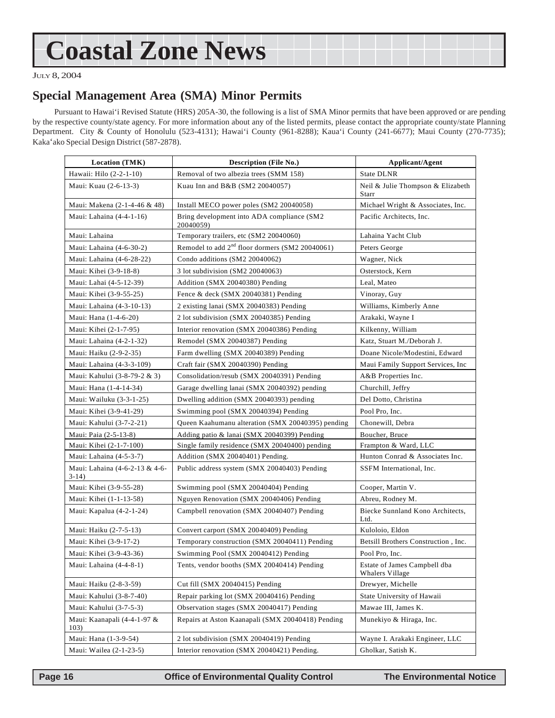# <span id="page-15-0"></span>**Coastal Zone News**

JULY 8, 2004

### **Special Management Area (SMA) Minor Permits**

Pursuant to Hawai'i Revised Statute (HRS) 205A-30, the following is a list of SMA Minor permits that have been approved or are pending by the respective county/state agency. For more information about any of the listed permits, please contact the appropriate county/state Planning Department. City & County of Honolulu (523-4131); Hawai'i County (961-8288); Kaua'i County (241-6677); Maui County (270-7735); Kaka'ako Special Design District (587-2878).

| Location (TMK)                            | Description (File No.)                                      | Applicant/Agent                                 |  |
|-------------------------------------------|-------------------------------------------------------------|-------------------------------------------------|--|
| Hawaii: Hilo (2-2-1-10)                   | Removal of two albezia trees (SMM 158)                      | State DLNR                                      |  |
| Maui: Kuau (2-6-13-3)                     | Kuau Inn and B&B (SM2 20040057)                             | Neil & Julie Thompson & Elizabeth<br>Starr      |  |
| Maui: Makena (2-1-4-46 & 48)              | Install MECO power poles (SM2 20040058)                     | Michael Wright & Associates, Inc.               |  |
| Maui: Lahaina (4-4-1-16)                  | Bring development into ADA compliance (SM2<br>20040059)     | Pacific Architects, Inc.                        |  |
| Maui: Lahaina                             | Temporary trailers, etc (SM2 20040060)                      | Lahaina Yacht Club                              |  |
| Maui: Lahaina (4-6-30-2)                  | Remodel to add 2 <sup>nd</sup> floor dormers (SM2 20040061) | Peters George                                   |  |
| Maui: Lahaina (4-6-28-22)                 | Condo additions (SM2 20040062)                              | Wagner, Nick                                    |  |
| Maui: Kihei (3-9-18-8)                    | 3 lot subdivision (SM2 20040063)                            | Osterstock, Kern                                |  |
| Maui: Lahai (4-5-12-39)                   | Addition (SMX 20040380) Pending                             | Leal, Mateo                                     |  |
| Maui: Kihei (3-9-55-25)                   | Fence & deck (SMX 20040381) Pending                         | Vinoray, Guy                                    |  |
| Maui: Lahaina (4-3-10-13)                 | 2 existing lanai (SMX 20040383) Pending                     | Williams, Kimberly Anne                         |  |
| Maui: Hana (1-4-6-20)                     | 2 lot subdivision (SMX 20040385) Pending                    | Arakaki, Wayne I                                |  |
| Maui: Kihei (2-1-7-95)                    | Interior renovation (SMX 20040386) Pending                  | Kilkenny, William                               |  |
| Maui: Lahaina (4-2-1-32)                  | Remodel (SMX 20040387) Pending                              | Katz, Stuart M./Deborah J.                      |  |
| Maui: Haiku (2-9-2-35)                    | Farm dwelling (SMX 20040389) Pending                        | Doane Nicole/Modestini, Edward                  |  |
| Maui: Lahaina (4-3-3-109)                 | Craft fair (SMX 20040390) Pending                           | Maui Family Support Services, Inc               |  |
| Maui: Kahului (3-8-79-2 & 3)              | Consolidation/resub (SMX 20040391) Pending                  | A&B Properties Inc.                             |  |
| Maui: Hana (1-4-14-34)                    | Garage dwelling lanai (SMX 20040392) pending                | Churchill, Jeffry                               |  |
| Maui: Wailuku (3-3-1-25)                  | Dwelling addition (SMX 20040393) pending                    | Del Dotto, Christina                            |  |
| Maui: Kihei (3-9-41-29)                   | Swimming pool (SMX 20040394) Pending                        | Pool Pro, Inc.                                  |  |
| Maui: Kahului (3-7-2-21)                  | Queen Kaahumanu alteration (SMX 20040395) pending           | Chonewill, Debra                                |  |
| Maui: Paia (2-5-13-8)                     | Adding patio & lanai (SMX 20040399) Pending                 | Boucher, Bruce                                  |  |
| Maui: Kihei (2-1-7-100)                   | Single family residence (SMX 20040400) pending              | Frampton & Ward, LLC                            |  |
| Maui: Lahaina (4-5-3-7)                   | Addition (SMX 20040401) Pending.                            | Hunton Conrad & Associates Inc.                 |  |
| Maui: Lahaina (4-6-2-13 & 4-6-<br>$3-14)$ | Public address system (SMX 20040403) Pending                | SSFM International, Inc.                        |  |
| Maui: Kihei (3-9-55-28)                   | Swimming pool (SMX 20040404) Pending                        | Cooper, Martin V.                               |  |
| Maui: Kihei (1-1-13-58)                   | Nguyen Renovation (SMX 20040406) Pending                    | Abreu, Rodney M.                                |  |
| Maui: Kapalua (4-2-1-24)                  | Campbell renovation (SMX 20040407) Pending                  | Biecke Sunnland Kono Architects,<br>Ltd.        |  |
| Maui: Haiku (2-7-5-13)                    | Convert carport (SMX 20040409) Pending                      | Kuloloio, Eldon                                 |  |
| Maui: Kihei (3-9-17-2)                    | Temporary construction (SMX 20040411) Pending               | Betsill Brothers Construction, Inc.             |  |
| Maui: Kihei (3-9-43-36)                   | Swimming Pool (SMX 20040412) Pending                        | Pool Pro, Inc.                                  |  |
| Maui: Lahaina (4-4-8-1)                   | Tents, vendor booths (SMX 20040414) Pending                 | Estate of James Campbell dba<br>Whalers Village |  |
| Maui: Haiku (2-8-3-59)                    | Cut fill (SMX 20040415) Pending                             | Drewyer, Michelle                               |  |
| Maui: Kahului (3-8-7-40)                  | Repair parking lot (SMX 20040416) Pending                   | State University of Hawaii                      |  |
| Maui: Kahului (3-7-5-3)                   | Observation stages (SMX 20040417) Pending                   | Mawae III, James K.                             |  |
| Maui: Kaanapali (4-4-1-97 &<br>103)       | Repairs at Aston Kaanapali (SMX 20040418) Pending           | Munekiyo & Hiraga, Inc.                         |  |
| Maui: Hana (1-3-9-54)                     | 2 lot subdivision (SMX 20040419) Pending                    | Wayne I. Arakaki Engineer, LLC                  |  |
| Maui: Wailea (2-1-23-5)                   | Interior renovation (SMX 20040421) Pending.                 | Gholkar, Satish K.                              |  |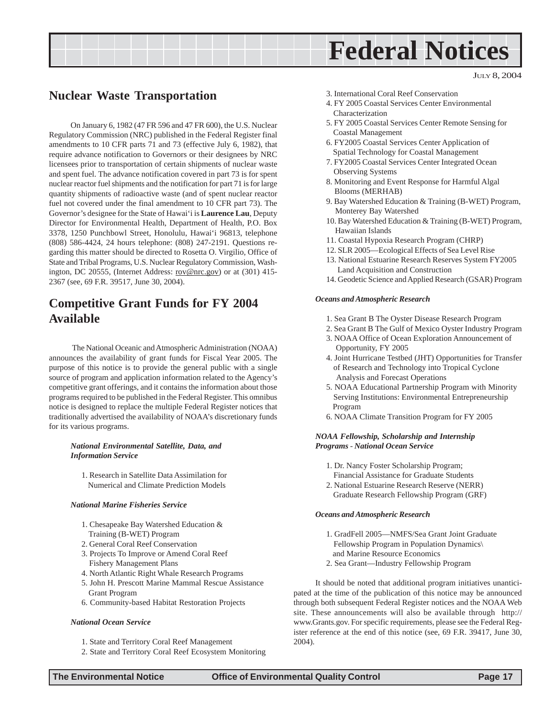# **Federal Notices**

### <span id="page-16-0"></span>**Nuclear Waste Transportation**

On January 6, 1982 (47 FR 596 and 47 FR 600), the U.S. Nuclear Regulatory Commission (NRC) published in the Federal Register final amendments to 10 CFR parts 71 and 73 (effective July 6, 1982), that require advance notification to Governors or their designees by NRC licensees prior to transportation of certain shipments of nuclear waste and spent fuel. The advance notification covered in part 73 is for spent nuclear reactor fuel shipments and the notification for part 71 is for large quantity shipments of radioactive waste (and of spent nuclear reactor fuel not covered under the final amendment to 10 CFR part 73). The Governor's designee for the State of Hawai'i is **Laurence Lau**, Deputy Director for Environmental Health, Department of Health, P.O. Box 3378, 1250 Punchbowl Street, Honolulu, Hawai'i 96813, telephone (808) 586-4424, 24 hours telephone: (808) 247-2191. Questions regarding this matter should be directed to Rosetta O. Virgilio, Office of State and Tribal Programs, U.S. Nuclear Regulatory Commission, Washington, DC 20555, (Internet Address: rov@nrc.gov) or at (301) 415-2367 (see, 69 F.R. 39517, June 30, 2004).

### **Competitive Grant Funds for FY 2004 Available**

 The National Oceanic and Atmospheric Administration (NOAA) announces the availability of grant funds for Fiscal Year 2005. The purpose of this notice is to provide the general public with a single source of program and application information related to the Agency's competitive grant offerings, and it contains the information about those programs required to be published in the Federal Register. This omnibus notice is designed to replace the multiple Federal Register notices that traditionally advertised the availability of NOAA's discretionary funds for its various programs.

#### *National Environmental Satellite, Data, and Information Service*

1. Research in Satellite Data Assimilation for Numerical and Climate Prediction Models

#### *National Marine Fisheries Service*

- 1. Chesapeake Bay Watershed Education & Training (B-WET) Program
- 2. General Coral Reef Conservation
- 3. Projects To Improve or Amend Coral Reef Fishery Management Plans
- 4. North Atlantic Right Whale Research Programs
- 5. John H. Prescott Marine Mammal Rescue Assistance Grant Program
- 6. Community-based Habitat Restoration Projects

#### *National Ocean Service*

- 1. State and Territory Coral Reef Management
- 2. State and Territory Coral Reef Ecosystem Monitoring
- 3. International Coral Reef Conservation
- 4. FY 2005 Coastal Services Center Environmental Characterization
- 5. FY 2005 Coastal Services Center Remote Sensing for Coastal Management
- 6. FY2005 Coastal Services Center Application of Spatial Technology for Coastal Management
- 7. FY2005 Coastal Services Center Integrated Ocean Observing Systems
- 8. Monitoring and Event Response for Harmful Algal Blooms (MERHAB)
- 9. Bay Watershed Education & Training (B-WET) Program, Monterey Bay Watershed
- 10. Bay Watershed Education & Training (B-WET) Program, Hawaiian Islands
- 11. Coastal Hypoxia Research Program (CHRP)
- 12. SLR 2005—Ecological Effects of Sea Level Rise
- 13. National Estuarine Research Reserves System FY2005 Land Acquisition and Construction
- 14. Geodetic Science and Applied Research (GSAR) Program

#### *Oceans and Atmospheric Research*

- 1. Sea Grant B The Oyster Disease Research Program
- 2. Sea Grant B The Gulf of Mexico Oyster Industry Program
- 3. NOAA Office of Ocean Exploration Announcement of Opportunity, FY 2005
- 4. Joint Hurricane Testbed (JHT) Opportunities for Transfer of Research and Technology into Tropical Cyclone Analysis and Forecast Operations
- 5. NOAA Educational Partnership Program with Minority Serving Institutions: Environmental Entrepreneurship Program
- 6. NOAA Climate Transition Program for FY 2005

#### *NOAA Fellowship, Scholarship and Internship Programs* - *National Ocean Service*

- 1. Dr. Nancy Foster Scholarship Program; Financial Assistance for Graduate Students
- 2. National Estuarine Research Reserve (NERR) Graduate Research Fellowship Program (GRF)

#### *Oceans and Atmospheric Research*

- 1. GradFell 2005—NMFS/Sea Grant Joint Graduate Fellowship Program in Population Dynamics\ and Marine Resource Economics
- 2. Sea Grant—Industry Fellowship Program

It should be noted that additional program initiatives unanticipated at the time of the publication of this notice may be announced through both subsequent Federal Register notices and the NOAA Web site. These announcements will also be available through http:// www.Grants.gov. For specific requirements, please see the Federal Register reference at the end of this notice (see, 69 F.R. 39417, June 30, 2004).

JULY 8, 2004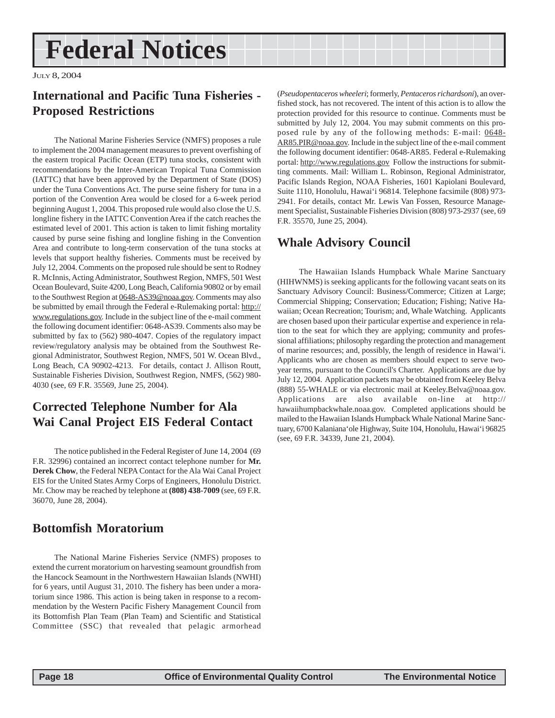# <span id="page-17-0"></span>**Federal Notices**

JULY 8, 2004

### **International and Pacific Tuna Fisheries - Proposed Restrictions**

The National Marine Fisheries Service (NMFS) proposes a rule to implement the 2004 management measures to prevent overfishing of the eastern tropical Pacific Ocean (ETP) tuna stocks, consistent with recommendations by the Inter-American Tropical Tuna Commission (IATTC) that have been approved by the Department of State (DOS) under the Tuna Conventions Act. The purse seine fishery for tuna in a portion of the Convention Area would be closed for a 6-week period beginning August 1, 2004. This proposed rule would also close the U.S. longline fishery in the IATTC Convention Area if the catch reaches the estimated level of 2001. This action is taken to limit fishing mortality caused by purse seine fishing and longline fishing in the Convention Area and contribute to long-term conservation of the tuna stocks at levels that support healthy fisheries. Comments must be received by July 12, 2004. Comments on the proposed rule should be sent to Rodney R. McInnis, Acting Administrator, Southwest Region, NMFS, 501 West Ocean Boulevard, Suite 4200, Long Beach, California 90802 or by email to the Southwest Region at 0648-AS39@noaa.gov. Comments may also be submitted by email through the Federal e-Rulemaking portal: http:// www.regulations.gov. Include in the subject line of the e-mail comment the following document identifier: 0648-AS39. Comments also may be submitted by fax to (562) 980-4047. Copies of the regulatory impact review/regulatory analysis may be obtained from the Southwest Regional Administrator, Southwest Region, NMFS, 501 W. Ocean Blvd., Long Beach, CA 90902-4213. For details, contact J. Allison Routt, Sustainable Fisheries Division, Southwest Region, NMFS, (562) 980- 4030 (see, 69 F.R. 35569, June 25, 2004).

### **Corrected Telephone Number for Ala Wai Canal Project EIS Federal Contact**

The notice published in the Federal Register of June 14, 2004 (69 F.R. 32996) contained an incorrect contact telephone number for **Mr. Derek Chow**, the Federal NEPA Contact for the Ala Wai Canal Project EIS for the United States Army Corps of Engineers, Honolulu District. Mr. Chow may be reached by telephone at **(808) 438-7009** (see, 69 F.R. 36070, June 28, 2004).

### **Bottomfish Moratorium**

The National Marine Fisheries Service (NMFS) proposes to extend the current moratorium on harvesting seamount groundfish from the Hancock Seamount in the Northwestern Hawaiian Islands (NWHI) for 6 years, until August 31, 2010. The fishery has been under a moratorium since 1986. This action is being taken in response to a recommendation by the Western Pacific Fishery Management Council from its Bottomfish Plan Team (Plan Team) and Scientific and Statistical Committee (SSC) that revealed that pelagic armorhead

(*Pseudopentaceros wheeleri*; formerly, *Pentaceros richardsoni*), an overfished stock, has not recovered. The intent of this action is to allow the protection provided for this resource to continue. Comments must be submitted by July 12, 2004. You may submit comments on this proposed rule by any of the following methods: E-mail: 0648-AR85.PIR@noaa.gov. Include in the subject line of the e-mail comment the following document identifier: 0648-AR85. Federal e-Rulemaking portal: http://www.regulations.gov Follow the instructions for submitting comments. Mail: William L. Robinson, Regional Administrator, Pacific Islands Region, NOAA Fisheries, 1601 Kapiolani Boulevard, Suite 1110, Honolulu, Hawai'i 96814. Telephone facsimile (808) 973- 2941. For details, contact Mr. Lewis Van Fossen, Resource Management Specialist, Sustainable Fisheries Division (808) 973-2937 (see, 69 F.R. 35570, June 25, 2004).

### **Whale Advisory Council**

The Hawaiian Islands Humpback Whale Marine Sanctuary (HIHWNMS) is seeking applicants for the following vacant seats on its Sanctuary Advisory Council: Business/Commerce; Citizen at Large; Commercial Shipping; Conservation; Education; Fishing; Native Hawaiian; Ocean Recreation; Tourism; and, Whale Watching. Applicants are chosen based upon their particular expertise and experience in relation to the seat for which they are applying; community and professional affiliations; philosophy regarding the protection and management of marine resources; and, possibly, the length of residence in Hawai'i. Applicants who are chosen as members should expect to serve twoyear terms, pursuant to the Council's Charter. Applications are due by July 12, 2004. Application packets may be obtained from Keeley Belva (888) 55-WHALE or via electronic mail at Keeley.Belva@noaa.gov. Applications are also available on-line at http:// hawaiihumpbackwhale.noaa.gov. Completed applications should be mailed to the Hawaiian Islands Humpback Whale National Marine Sanctuary, 6700 Kalaniana'ole Highway, Suite 104, Honolulu, Hawai'i 96825 (see, 69 F.R. 34339, June 21, 2004).